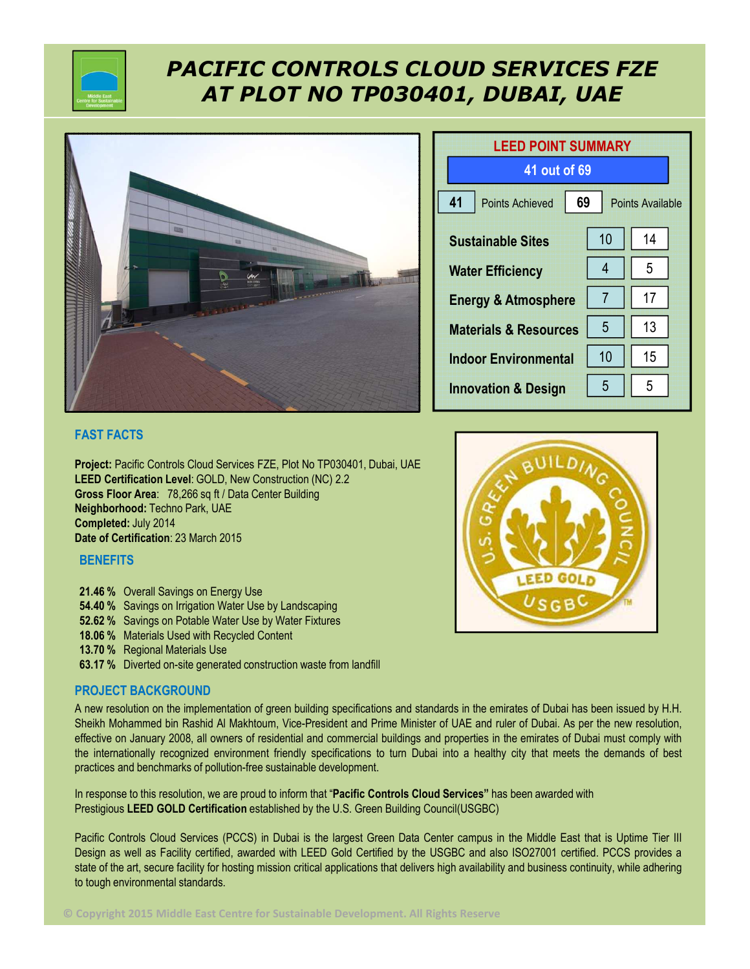

# *PACIFIC CONTROLS CLOUD SERVICES FZE AT PLOT NO TP030401, DUBAI, UAE*



| <b>LEED POINT SUMMARY</b>        |                               |    |  |
|----------------------------------|-------------------------------|----|--|
| 41 out of 69                     |                               |    |  |
| 41<br><b>Points Achieved</b>     | 69<br><b>Points Available</b> |    |  |
| <b>Sustainable Sites</b>         | 10                            | 14 |  |
| <b>Water Efficiency</b>          | 4                             | 5  |  |
| <b>Energy &amp; Atmosphere</b>   | 7                             | 17 |  |
| <b>Materials &amp; Resources</b> | 5                             | 13 |  |
| <b>Indoor Environmental</b>      | 10                            | 15 |  |
| <b>Innovation &amp; Design</b>   | 5                             | 5  |  |



**Project:** Pacific Controls Cloud Services FZE, Plot No TP030401, Dubai, UAE **LEED Certification Level**: GOLD, New Construction (NC) 2.2 **Gross Floor Area**: 78,266 sq ft / Data Center Building **Neighborhood:** Techno Park, UAE **Completed:** July 2014 **Date of Certification**: 23 March 2015

### **BENEFITS**

- **21.46 %** Overall Savings on Energy Use
- **54.40 %** Savings on Irrigation Water Use by Landscaping
- **52.62 %** Savings on Potable Water Use by Water Fixtures
- **18.06 %** Materials Used with Recycled Content
- **13.70 %** Regional Materials Use
- **63.17 %** Diverted on-site generated construction waste from landfill

### **PROJECT BACKGROUND**

A new resolution on the implementation of green building specifications and standards in the emirates of Dubai has been issued by H.H. Sheikh Mohammed bin Rashid Al Makhtoum, Vice-President and Prime Minister of UAE and ruler of Dubai. As per the new resolution, effective on January 2008, all owners of residential and commercial buildings and properties in the emirates of Dubai must comply with the internationally recognized environment friendly specifications to turn Dubai into a healthy city that meets the demands of best practices and benchmarks of pollution-free sustainable development.

In response to this resolution, we are proud to inform that "**Pacific Controls Cloud Services"** has been awarded with Prestigious **LEED GOLD Certification** established by the U.S. Green Building Council(USGBC)

Pacific Controls Cloud Services (PCCS) in Dubai is the largest Green Data Center campus in the Middle East that is Uptime Tier III Design as well as Facility certified, awarded with LEED Gold Certified by the USGBC and also ISO27001 certified. PCCS provides a state of the art, secure facility for hosting mission critical applications that delivers high availability and business continuity, while adhering to tough environmental standards.